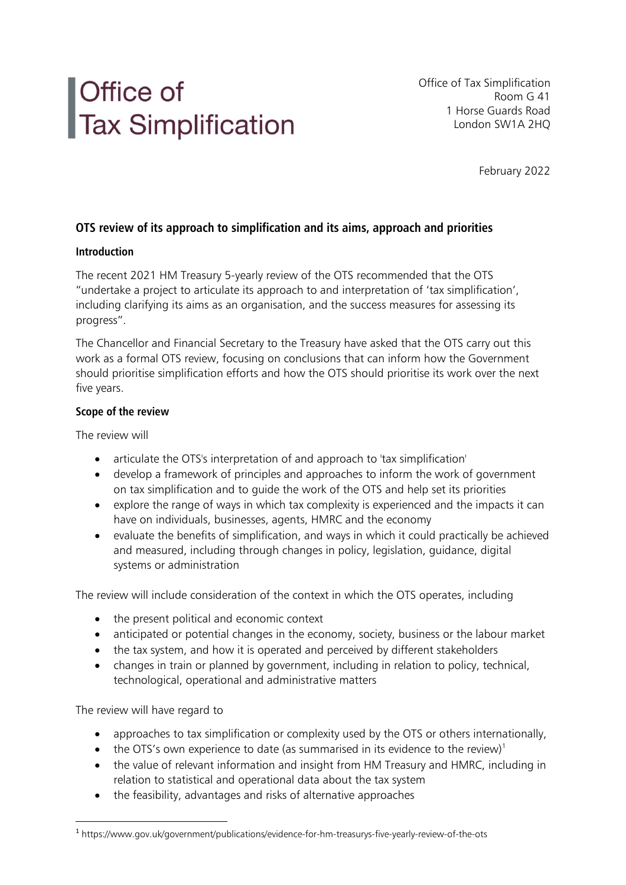# Office of<br>Tax Simplification

Office of Tax Simplification Room G 41 1 Horse Guards Road London SW1A 2HQ

February 2022

# **OTS review of its approach to simplification and its aims, approach and priorities**

### **Introduction**

The recent 2021 HM Treasury 5-yearly review of the OTS recommended that the OTS "undertake a project to articulate its approach to and interpretation of 'tax simplification', including clarifying its aims as an organisation, and the success measures for assessing its progress".

The Chancellor and Financial Secretary to the Treasury have asked that the OTS carry out this work as a formal OTS review, focusing on conclusions that can inform how the Government should prioritise simplification efforts and how the OTS should prioritise its work over the next five years.

# **Scope of the review**

The review will

- articulate the OTS's interpretation of and approach to 'tax simplification'
- develop a framework of principles and approaches to inform the work of government on tax simplification and to guide the work of the OTS and help set its priorities
- explore the range of ways in which tax complexity is experienced and the impacts it can have on individuals, businesses, agents, HMRC and the economy
- evaluate the benefits of simplification, and ways in which it could practically be achieved and measured, including through changes in policy, legislation, guidance, digital systems or administration

The review will include consideration of the context in which the OTS operates, including

- the present political and economic context
- anticipated or potential changes in the economy, society, business or the labour market
- the tax system, and how it is operated and perceived by different stakeholders
- changes in train or planned by government, including in relation to policy, technical, technological, operational and administrative matters

The review will have regard to

- approaches to tax simplification or complexity used by the OTS or others internationally,
- the OTS's own experience to date (as summarised in its evidence to the review)<sup>1</sup>
- the value of relevant information and insight from HM Treasury and HMRC, including in relation to statistical and operational data about the tax system
- the feasibility, advantages and risks of alternative approaches

<sup>1</sup> https://www.gov.uk/government/publications/evidence-for-hm-treasurys-five-yearly-review-of-the-ots